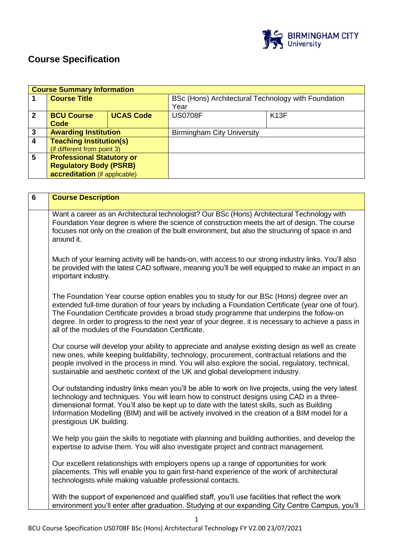

# **Course Specification**

|                | <b>Course Summary Information</b> |                  |                                                     |      |  |
|----------------|-----------------------------------|------------------|-----------------------------------------------------|------|--|
|                | <b>Course Title</b>               |                  | BSc (Hons) Architectural Technology with Foundation |      |  |
|                |                                   |                  | Year                                                |      |  |
| $\mathbf{2}$   | <b>BCU Course</b>                 | <b>UCAS Code</b> | <b>US0708F</b>                                      | K13F |  |
|                | Code                              |                  |                                                     |      |  |
| 3              | <b>Awarding Institution</b>       |                  | <b>Birmingham City University</b>                   |      |  |
| $\overline{4}$ | <b>Teaching Institution(s)</b>    |                  |                                                     |      |  |
|                | (if different from point 3)       |                  |                                                     |      |  |
| 5              | <b>Professional Statutory or</b>  |                  |                                                     |      |  |
|                | <b>Regulatory Body (PSRB)</b>     |                  |                                                     |      |  |
|                | accreditation (if applicable)     |                  |                                                     |      |  |

| $\overline{6}$ | <b>Course Description</b>                                                                                                                                                                                                                                                                                                                                                                                                                              |
|----------------|--------------------------------------------------------------------------------------------------------------------------------------------------------------------------------------------------------------------------------------------------------------------------------------------------------------------------------------------------------------------------------------------------------------------------------------------------------|
|                | Want a career as an Architectural technologist? Our BSc (Hons) Architectural Technology with<br>Foundation Year degree is where the science of construction meets the art of design. The course<br>focuses not only on the creation of the built environment, but also the structuring of space in and<br>around it.                                                                                                                                   |
|                | Much of your learning activity will be hands-on, with access to our strong industry links. You'll also<br>be provided with the latest CAD software, meaning you'll be well equipped to make an impact in an<br>important industry.                                                                                                                                                                                                                     |
|                | The Foundation Year course option enables you to study for our BSc (Hons) degree over an<br>extended full-time duration of four years by including a Foundation Certificate (year one of four).<br>The Foundation Certificate provides a broad study programme that underpins the follow-on<br>degree. In order to progress to the next year of your degree, it is necessary to achieve a pass in<br>all of the modules of the Foundation Certificate. |
|                | Our course will develop your ability to appreciate and analyse existing design as well as create<br>new ones, while keeping buildability, technology, procurement, contractual relations and the<br>people involved in the process in mind. You will also explore the social, regulatory, technical,<br>sustainable and aesthetic context of the UK and global development industry.                                                                   |
|                | Our outstanding industry links mean you'll be able to work on live projects, using the very latest<br>technology and techniques. You will learn how to construct designs using CAD in a three-<br>dimensional format. You'll also be kept up to date with the latest skills, such as Building<br>Information Modelling (BIM) and will be actively involved in the creation of a BIM model for a<br>prestigious UK building.                            |
|                | We help you gain the skills to negotiate with planning and building authorities, and develop the<br>expertise to advise them. You will also investigate project and contract management.                                                                                                                                                                                                                                                               |
|                | Our excellent relationships with employers opens up a range of opportunities for work<br>placements. This will enable you to gain first-hand experience of the work of architectural<br>technologists while making valuable professional contacts.                                                                                                                                                                                                     |
|                | With the support of experienced and qualified staff, you'll use facilities that reflect the work<br>environment you'll enter after graduation. Studying at our expanding City Centre Campus, you'll                                                                                                                                                                                                                                                    |

1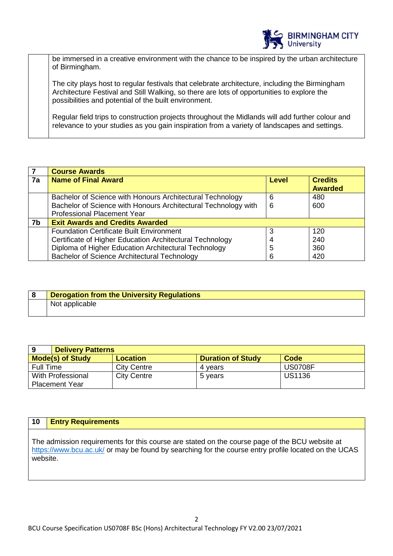

be immersed in a creative environment with the chance to be inspired by the urban architecture of Birmingham.

The city plays host to regular festivals that celebrate architecture, including the Birmingham Architecture Festival and Still Walking, so there are lots of opportunities to explore the possibilities and potential of the built environment.

Regular field trips to construction projects throughout the Midlands will add further colour and relevance to your studies as you gain inspiration from a variety of landscapes and settings.

|                | <b>Course Awards</b>                                           |              |                                  |  |
|----------------|----------------------------------------------------------------|--------------|----------------------------------|--|
| 7a             | <b>Name of Final Award</b>                                     | <b>Level</b> | <b>Credits</b><br><b>Awarded</b> |  |
|                | Bachelor of Science with Honours Architectural Technology      | 6            | 480                              |  |
|                | Bachelor of Science with Honours Architectural Technology with | 6            | 600                              |  |
|                | <b>Professional Placement Year</b>                             |              |                                  |  |
| 7 <sub>b</sub> | <b>Exit Awards and Credits Awarded</b>                         |              |                                  |  |
|                | <b>Foundation Certificate Built Environment</b>                | 3            | 120                              |  |
|                | Certificate of Higher Education Architectural Technology       | 4            | 240                              |  |
|                | Diploma of Higher Education Architectural Technology           | 5            | 360                              |  |
|                | Bachelor of Science Architectural Technology                   | 6            | 420                              |  |

| <b>Derogation from the University Regulations</b> |
|---------------------------------------------------|
| Not applicable                                    |

| <b>Delivery Patterns</b><br>9                                                  |                    |         |                |  |  |
|--------------------------------------------------------------------------------|--------------------|---------|----------------|--|--|
| <b>Mode(s) of Study</b><br><b>Duration of Study</b><br>Code<br><b>Location</b> |                    |         |                |  |  |
| Full Time                                                                      | <b>City Centre</b> | 4 vears | <b>US0708F</b> |  |  |
| With Professional                                                              | <b>City Centre</b> | 5 vears | <b>US1136</b>  |  |  |
| <b>Placement Year</b>                                                          |                    |         |                |  |  |

#### **10 Entry Requirements**

The admission requirements for this course are stated on the course page of the BCU website at <https://www.bcu.ac.uk/> or may be found by searching for the course entry profile located on the UCAS website.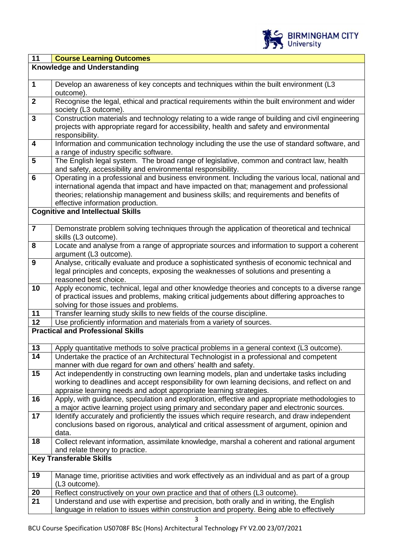

| 11                      | <b>Course Learning Outcomes</b>                                                                                                                                                                                                                                                                                            |
|-------------------------|----------------------------------------------------------------------------------------------------------------------------------------------------------------------------------------------------------------------------------------------------------------------------------------------------------------------------|
|                         | <b>Knowledge and Understanding</b>                                                                                                                                                                                                                                                                                         |
|                         |                                                                                                                                                                                                                                                                                                                            |
| $\mathbf{1}$            | Develop an awareness of key concepts and techniques within the built environment (L3<br>outcome).                                                                                                                                                                                                                          |
| $\overline{2}$          | Recognise the legal, ethical and practical requirements within the built environment and wider<br>society (L3 outcome).                                                                                                                                                                                                    |
| $\overline{\mathbf{3}}$ | Construction materials and technology relating to a wide range of building and civil engineering<br>projects with appropriate regard for accessibility, health and safety and environmental<br>responsibility.                                                                                                             |
| $\overline{\mathbf{4}}$ | Information and communication technology including the use the use of standard software, and<br>a range of industry specific software.                                                                                                                                                                                     |
| $5\phantom{1}$          | The English legal system. The broad range of legislative, common and contract law, health<br>and safety, accessibility and environmental responsibility.                                                                                                                                                                   |
| $6\phantom{a}$          | Operating in a professional and business environment. Including the various local, national and<br>international agenda that impact and have impacted on that; management and professional<br>theories; relationship management and business skills; and requirements and benefits of<br>effective information production. |
|                         | <b>Cognitive and Intellectual Skills</b>                                                                                                                                                                                                                                                                                   |
| $\overline{7}$          | Demonstrate problem solving techniques through the application of theoretical and technical<br>skills (L3 outcome).                                                                                                                                                                                                        |
| 8                       | Locate and analyse from a range of appropriate sources and information to support a coherent<br>argument (L3 outcome).                                                                                                                                                                                                     |
| $\boldsymbol{9}$        | Analyse, critically evaluate and produce a sophisticated synthesis of economic technical and<br>legal principles and concepts, exposing the weaknesses of solutions and presenting a<br>reasoned best choice.                                                                                                              |
| 10                      | Apply economic, technical, legal and other knowledge theories and concepts to a diverse range<br>of practical issues and problems, making critical judgements about differing approaches to<br>solving for those issues and problems.                                                                                      |
| 11                      | Transfer learning study skills to new fields of the course discipline.                                                                                                                                                                                                                                                     |
| 12                      | Use proficiently information and materials from a variety of sources.                                                                                                                                                                                                                                                      |
|                         | <b>Practical and Professional Skills</b>                                                                                                                                                                                                                                                                                   |
| 13                      | Apply quantitative methods to solve practical problems in a general context (L3 outcome).                                                                                                                                                                                                                                  |
| 14                      | Undertake the practice of an Architectural Technologist in a professional and competent<br>manner with due regard for own and others' health and safety.                                                                                                                                                                   |
| 15                      | Act independently in constructing own learning models, plan and undertake tasks including<br>working to deadlines and accept responsibility for own learning decisions, and reflect on and<br>appraise learning needs and adopt appropriate learning strategies.                                                           |
| 16                      | Apply, with guidance, speculation and exploration, effective and appropriate methodologies to<br>a major active learning project using primary and secondary paper and electronic sources.                                                                                                                                 |
| 17                      | Identify accurately and proficiently the issues which require research, and draw independent<br>conclusions based on rigorous, analytical and critical assessment of argument, opinion and<br>data.                                                                                                                        |
| 18                      | Collect relevant information, assimilate knowledge, marshal a coherent and rational argument<br>and relate theory to practice.                                                                                                                                                                                             |
|                         | <b>Key Transferable Skills</b>                                                                                                                                                                                                                                                                                             |
| 19                      | Manage time, prioritise activities and work effectively as an individual and as part of a group<br>(L3 outcome).                                                                                                                                                                                                           |
| 20                      | Reflect constructively on your own practice and that of others (L3 outcome).                                                                                                                                                                                                                                               |
| 21                      | Understand and use with expertise and precision, both orally and in writing, the English                                                                                                                                                                                                                                   |
|                         | language in relation to issues within construction and property. Being able to effectively                                                                                                                                                                                                                                 |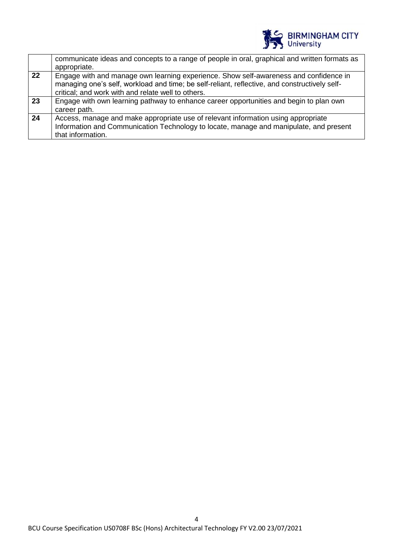

|    | communicate ideas and concepts to a range of people in oral, graphical and written formats as<br>appropriate.                                                                                                                                |
|----|----------------------------------------------------------------------------------------------------------------------------------------------------------------------------------------------------------------------------------------------|
| 22 | Engage with and manage own learning experience. Show self-awareness and confidence in<br>managing one's self, workload and time; be self-reliant, reflective, and constructively self-<br>critical; and work with and relate well to others. |
| 23 | Engage with own learning pathway to enhance career opportunities and begin to plan own<br>career path.                                                                                                                                       |
| 24 | Access, manage and make appropriate use of relevant information using appropriate<br>Information and Communication Technology to locate, manage and manipulate, and present<br>that information.                                             |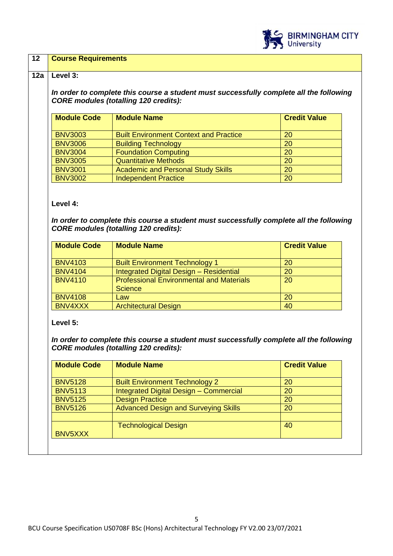

## **12 Course Requirements**

#### **12a Level 3:**

*In order to complete this course a student must successfully complete all the following CORE modules (totalling 120 credits):*

| <b>Module Code</b> | <b>Module Name</b>                            | <b>Credit Value</b> |
|--------------------|-----------------------------------------------|---------------------|
| <b>BNV3003</b>     | <b>Built Environment Context and Practice</b> | 20                  |
| <b>BNV3006</b>     | <b>Building Technology</b>                    | <b>20</b>           |
| <b>BNV3004</b>     | <b>Foundation Computing</b>                   | 20                  |
| <b>BNV3005</b>     | <b>Quantitative Methods</b>                   | <b>20</b>           |
| <b>BNV3001</b>     | <b>Academic and Personal Study Skills</b>     | 20                  |
| <b>BNV3002</b>     | <b>Independent Practice</b>                   | 20                  |

**Level 4:**

*In order to complete this course a student must successfully complete all the following CORE modules (totalling 120 credits):*

| <b>Module Code</b> | <b>Module Name</b>                                                | <b>Credit Value</b> |
|--------------------|-------------------------------------------------------------------|---------------------|
| <b>BNV4103</b>     | <b>Built Environment Technology 1</b>                             | <b>20</b>           |
| <b>BNV4104</b>     | Integrated Digital Design - Residential                           | 20                  |
| <b>BNV4110</b>     | <b>Professional Environmental and Materials</b><br><b>Science</b> | <b>20</b>           |
| <b>BNV4108</b>     | Law                                                               | 20                  |
| BNV4XXX            | <b>Architectural Design</b>                                       | 40                  |

**Level 5:**

*In order to complete this course a student must successfully complete all the following CORE modules (totalling 120 credits):*

| <b>Module Code</b> | <b>Module Name</b>                          | <b>Credit Value</b> |
|--------------------|---------------------------------------------|---------------------|
|                    |                                             |                     |
| <b>BNV5128</b>     | <b>Built Environment Technology 2</b>       | 20                  |
| <b>BNV5113</b>     | Integrated Digital Design - Commercial      | 20                  |
| <b>BNV5125</b>     | <b>Design Practice</b>                      | 20                  |
| <b>BNV5126</b>     | <b>Advanced Design and Surveying Skills</b> | 20                  |
|                    |                                             |                     |
|                    | <b>Technological Design</b>                 | 40                  |
| BNV5XXX            |                                             |                     |
|                    |                                             |                     |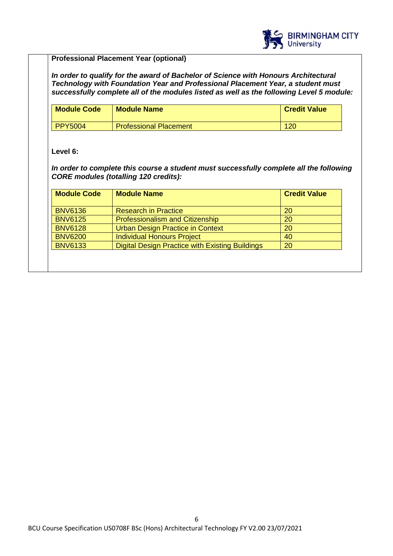

## **Professional Placement Year (optional)**

*In order to qualify for the award of Bachelor of Science with Honours Architectural Technology with Foundation Year and Professional Placement Year, a student must successfully complete all of the modules listed as well as the following Level 5 module:*

| <b>Module Code</b> | <b>Module Name</b>            | <b>Credit Value</b> |
|--------------------|-------------------------------|---------------------|
| <b>PPY5004</b>     | <b>Professional Placement</b> | 120                 |

# **Level 6:**

*In order to complete this course a student must successfully complete all the following CORE modules (totalling 120 credits):*

| <b>Module Code</b> | <b>Module Name</b>                              | <b>Credit Value</b> |
|--------------------|-------------------------------------------------|---------------------|
| <b>BNV6136</b>     | <b>Research in Practice</b>                     | -20                 |
| <b>BNV6125</b>     | Professionalism and Citizenship                 | 20                  |
| <b>BNV6128</b>     | <b>Urban Design Practice in Context</b>         | 20                  |
| <b>BNV6200</b>     | Individual Honours Project                      | 40                  |
| <b>BNV6133</b>     | Digital Design Practice with Existing Buildings | 20                  |
|                    |                                                 |                     |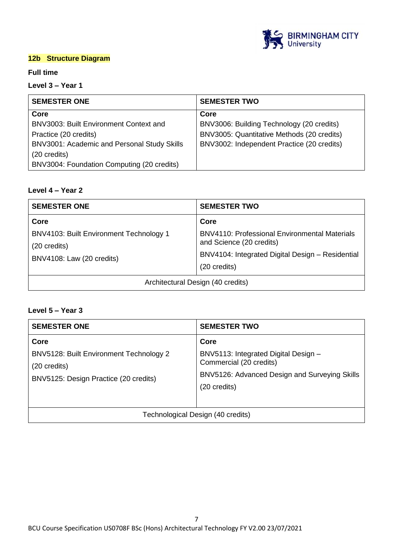

# **12b Structure Diagram**

#### **Full time**

# **Level 3 – Year 1**

| <b>SEMESTER ONE</b>                         | <b>SEMESTER TWO</b>                        |
|---------------------------------------------|--------------------------------------------|
| Core                                        | Core                                       |
| BNV3003: Built Environment Context and      | BNV3006: Building Technology (20 credits)  |
| Practice (20 credits)                       | BNV3005: Quantitative Methods (20 credits) |
| BNV3001: Academic and Personal Study Skills | BNV3002: Independent Practice (20 credits) |
| (20 credits)                                |                                            |
| BNV3004: Foundation Computing (20 credits)  |                                            |

# **Level 4 – Year 2**

| <b>SEMESTER ONE</b>                                                                  | <b>SEMESTER TWO</b>                                                                                                                  |
|--------------------------------------------------------------------------------------|--------------------------------------------------------------------------------------------------------------------------------------|
| Core                                                                                 | Core                                                                                                                                 |
| BNV4103: Built Environment Technology 1<br>(20 credits)<br>BNV4108: Law (20 credits) | <b>BNV4110: Professional Environmental Materials</b><br>and Science (20 credits)<br>BNV4104: Integrated Digital Design - Residential |
|                                                                                      | (20 credits)                                                                                                                         |
| Architectural Design (40 credits)                                                    |                                                                                                                                      |

# **Level 5 – Year 3**

| <b>SEMESTER ONE</b>                                                                                      | <b>SEMESTER TWO</b>                                                                                                                      |
|----------------------------------------------------------------------------------------------------------|------------------------------------------------------------------------------------------------------------------------------------------|
| Core<br>BNV5128: Built Environment Technology 2<br>(20 credits)<br>BNV5125: Design Practice (20 credits) | Core<br>BNV5113: Integrated Digital Design -<br>Commercial (20 credits)<br>BNV5126: Advanced Design and Surveying Skills<br>(20 credits) |
|                                                                                                          | Technological Design (40 credits)                                                                                                        |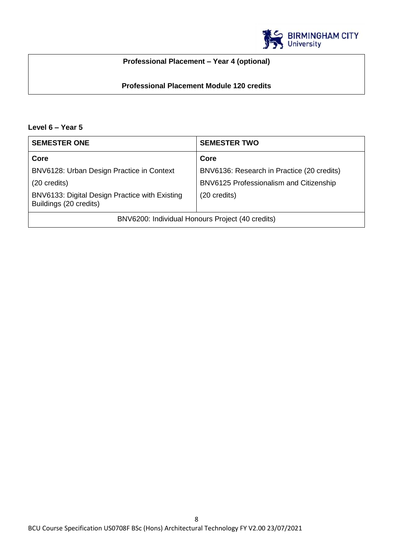

# **Professional Placement – Year 4 (optional)**

# **Professional Placement Module 120 credits**

# **Level 6 – Year 5**

| <b>SEMESTER ONE</b>                                                      | <b>SEMESTER TWO</b>                        |
|--------------------------------------------------------------------------|--------------------------------------------|
| Core                                                                     | Core                                       |
| BNV6128: Urban Design Practice in Context                                | BNV6136: Research in Practice (20 credits) |
| $(20 \text{ credits})$                                                   | BNV6125 Professionalism and Citizenship    |
| BNV6133: Digital Design Practice with Existing<br>Buildings (20 credits) | (20 credits)                               |
| BNV6200: Individual Honours Project (40 credits)                         |                                            |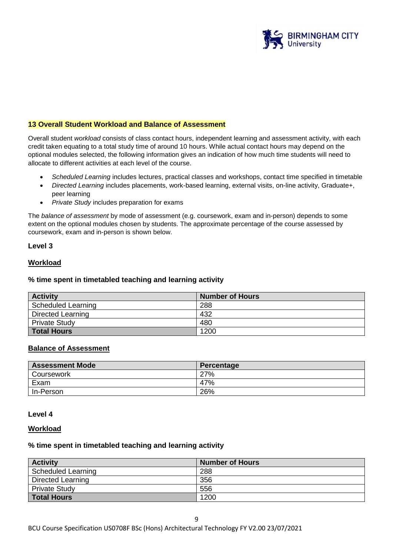

## **13 Overall Student Workload and Balance of Assessment**

Overall student *workload* consists of class contact hours, independent learning and assessment activity, with each credit taken equating to a total study time of around 10 hours. While actual contact hours may depend on the optional modules selected, the following information gives an indication of how much time students will need to allocate to different activities at each level of the course.

- *Scheduled Learning* includes lectures, practical classes and workshops, contact time specified in timetable
- *Directed Learning* includes placements, work-based learning, external visits, on-line activity, Graduate+, peer learning
- *Private Study* includes preparation for exams

The *balance of assessment* by mode of assessment (e.g. coursework, exam and in-person) depends to some extent on the optional modules chosen by students. The approximate percentage of the course assessed by coursework, exam and in-person is shown below.

#### **Level 3**

#### **Workload**

#### **% time spent in timetabled teaching and learning activity**

| <b>Activity</b>           | <b>Number of Hours</b> |
|---------------------------|------------------------|
| <b>Scheduled Learning</b> | 288                    |
| <b>Directed Learning</b>  | 432                    |
| <b>Private Study</b>      | 480                    |
| <b>Total Hours</b>        | 1200                   |

#### **Balance of Assessment**

| <b>Assessment Mode</b> | Percentage |
|------------------------|------------|
| Coursework             | 27%        |
| Exam                   | 47%        |
| In-Person              | 26%        |

#### **Level 4**

#### **Workload**

#### **% time spent in timetabled teaching and learning activity**

| <b>Activity</b>      | <b>Number of Hours</b> |
|----------------------|------------------------|
| Scheduled Learning   | 288                    |
| Directed Learning    | 356                    |
| <b>Private Study</b> | 556                    |
| <b>Total Hours</b>   | 1200                   |